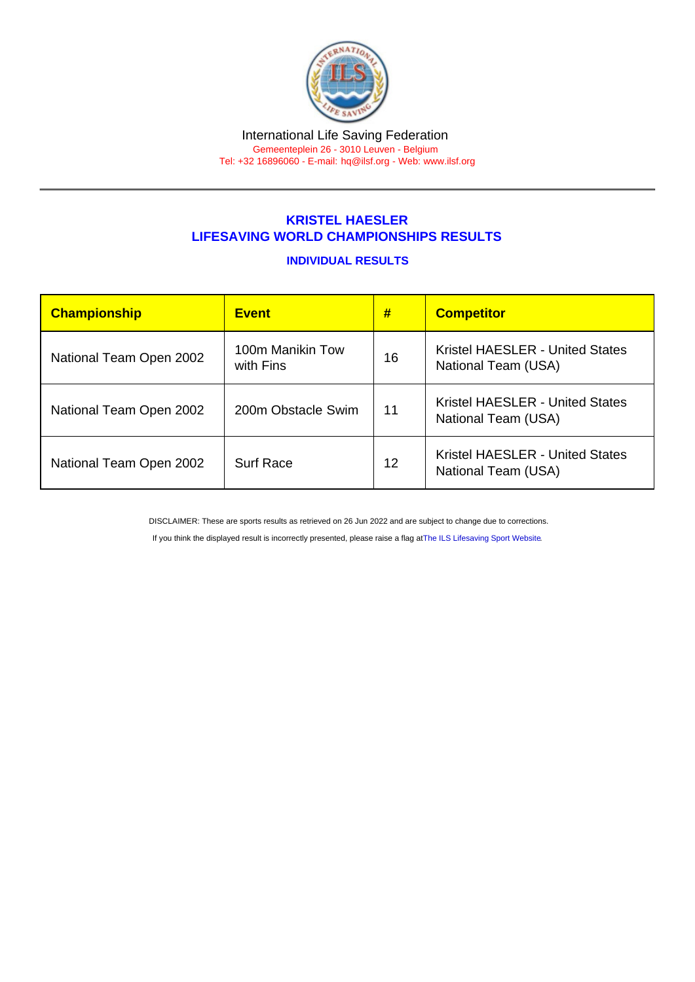## KRISTEL HAESLER LIFESAVING WORLD CHAMPIONSHIPS RESULTS

## INDIVIDUAL RESULTS

| <b>Championship</b>     | <b>Event</b>                  | #  | <b>Competitor</b>                                             |
|-------------------------|-------------------------------|----|---------------------------------------------------------------|
| National Team Open 2002 | 100m Manikin Tow<br>with Fins | 16 | Kristel HAESLER - United States<br>National Team (USA)        |
| National Team Open 2002 | 200m Obstacle Swim            | 11 | <b>Kristel HAESLER - United States</b><br>National Team (USA) |
| National Team Open 2002 | <b>Surf Race</b>              | 12 | <b>Kristel HAESLER - United States</b><br>National Team (USA) |

DISCLAIMER: These are sports results as retrieved on 26 Jun 2022 and are subject to change due to corrections.

If you think the displayed result is incorrectly presented, please raise a flag at [The ILS Lifesaving Sport Website.](https://sport.ilsf.org)